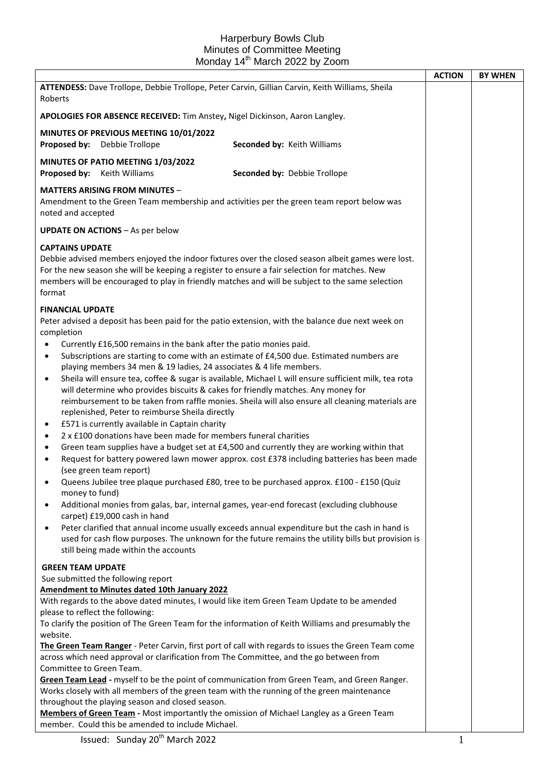|                                                                                                                                                                                                                                                                                                                                                                                                                                                                                                                                                                                                                                                                                                                                                                                                                                                                                                                                                                                                                                                      |                                                                                                                                                                                                                                                                                                                                                                                                                                                                                                                                                                                                             | <b>ACTION</b> | <b>BY WHEN</b> |
|------------------------------------------------------------------------------------------------------------------------------------------------------------------------------------------------------------------------------------------------------------------------------------------------------------------------------------------------------------------------------------------------------------------------------------------------------------------------------------------------------------------------------------------------------------------------------------------------------------------------------------------------------------------------------------------------------------------------------------------------------------------------------------------------------------------------------------------------------------------------------------------------------------------------------------------------------------------------------------------------------------------------------------------------------|-------------------------------------------------------------------------------------------------------------------------------------------------------------------------------------------------------------------------------------------------------------------------------------------------------------------------------------------------------------------------------------------------------------------------------------------------------------------------------------------------------------------------------------------------------------------------------------------------------------|---------------|----------------|
| ATTENDESS: Dave Trollope, Debbie Trollope, Peter Carvin, Gillian Carvin, Keith Williams, Sheila<br>Roberts                                                                                                                                                                                                                                                                                                                                                                                                                                                                                                                                                                                                                                                                                                                                                                                                                                                                                                                                           |                                                                                                                                                                                                                                                                                                                                                                                                                                                                                                                                                                                                             |               |                |
| APOLOGIES FOR ABSENCE RECEIVED: Tim Anstey, Nigel Dickinson, Aaron Langley.                                                                                                                                                                                                                                                                                                                                                                                                                                                                                                                                                                                                                                                                                                                                                                                                                                                                                                                                                                          |                                                                                                                                                                                                                                                                                                                                                                                                                                                                                                                                                                                                             |               |                |
| MINUTES OF PREVIOUS MEETING 10/01/2022<br>Proposed by: Debbie Trollope<br>Seconded by: Keith Williams                                                                                                                                                                                                                                                                                                                                                                                                                                                                                                                                                                                                                                                                                                                                                                                                                                                                                                                                                |                                                                                                                                                                                                                                                                                                                                                                                                                                                                                                                                                                                                             |               |                |
| MINUTES OF PATIO MEETING 1/03/2022<br>Proposed by:<br>Keith Williams                                                                                                                                                                                                                                                                                                                                                                                                                                                                                                                                                                                                                                                                                                                                                                                                                                                                                                                                                                                 | Seconded by: Debbie Trollope                                                                                                                                                                                                                                                                                                                                                                                                                                                                                                                                                                                |               |                |
| <b>MATTERS ARISING FROM MINUTES -</b><br>Amendment to the Green Team membership and activities per the green team report below was<br>noted and accepted                                                                                                                                                                                                                                                                                                                                                                                                                                                                                                                                                                                                                                                                                                                                                                                                                                                                                             |                                                                                                                                                                                                                                                                                                                                                                                                                                                                                                                                                                                                             |               |                |
| <b>UPDATE ON ACTIONS - As per below</b>                                                                                                                                                                                                                                                                                                                                                                                                                                                                                                                                                                                                                                                                                                                                                                                                                                                                                                                                                                                                              |                                                                                                                                                                                                                                                                                                                                                                                                                                                                                                                                                                                                             |               |                |
| <b>CAPTAINS UPDATE</b><br>Debbie advised members enjoyed the indoor fixtures over the closed season albeit games were lost.<br>For the new season she will be keeping a register to ensure a fair selection for matches. New<br>members will be encouraged to play in friendly matches and will be subject to the same selection<br>format                                                                                                                                                                                                                                                                                                                                                                                                                                                                                                                                                                                                                                                                                                           |                                                                                                                                                                                                                                                                                                                                                                                                                                                                                                                                                                                                             |               |                |
| <b>FINANCIAL UPDATE</b><br>Peter advised a deposit has been paid for the patio extension, with the balance due next week on<br>completion<br>Currently £16,500 remains in the bank after the patio monies paid.<br>Subscriptions are starting to come with an estimate of £4,500 due. Estimated numbers are<br>$\bullet$<br>playing members 34 men & 19 ladies, 24 associates & 4 life members.<br>$\bullet$<br>will determine who provides biscuits & cakes for friendly matches. Any money for<br>replenished, Peter to reimburse Sheila directly<br>£571 is currently available in Captain charity<br>٠<br>2 x £100 donations have been made for members funeral charities<br>$\bullet$<br>٠<br>$\bullet$<br>(see green team report)<br>Queens Jubilee tree plaque purchased £80, tree to be purchased approx. £100 - £150 (Quiz<br>money to fund)<br>Additional monies from galas, bar, internal games, year-end forecast (excluding clubhouse<br>$\bullet$<br>carpet) £19,000 cash in hand<br>$\bullet$<br>still being made within the accounts | Sheila will ensure tea, coffee & sugar is available, Michael L will ensure sufficient milk, tea rota<br>reimbursement to be taken from raffle monies. Sheila will also ensure all cleaning materials are<br>Green team supplies have a budget set at £4,500 and currently they are working within that<br>Request for battery powered lawn mower approx. cost £378 including batteries has been made<br>Peter clarified that annual income usually exceeds annual expenditure but the cash in hand is<br>used for cash flow purposes. The unknown for the future remains the utility bills but provision is |               |                |
| <b>GREEN TEAM UPDATE</b><br>Sue submitted the following report<br><b>Amendment to Minutes dated 10th January 2022</b><br>With regards to the above dated minutes, I would like item Green Team Update to be amended<br>please to reflect the following:<br>To clarify the position of The Green Team for the information of Keith Williams and presumably the<br>website.<br>The Green Team Ranger - Peter Carvin, first port of call with regards to issues the Green Team come<br>across which need approval or clarification from The Committee, and the go between from<br>Committee to Green Team.<br>Green Team Lead - myself to be the point of communication from Green Team, and Green Ranger.<br>Works closely with all members of the green team with the running of the green maintenance<br>throughout the playing season and closed season.<br>Members of Green Team - Most importantly the omission of Michael Langley as a Green Team<br>member. Could this be amended to include Michael.                                           |                                                                                                                                                                                                                                                                                                                                                                                                                                                                                                                                                                                                             |               |                |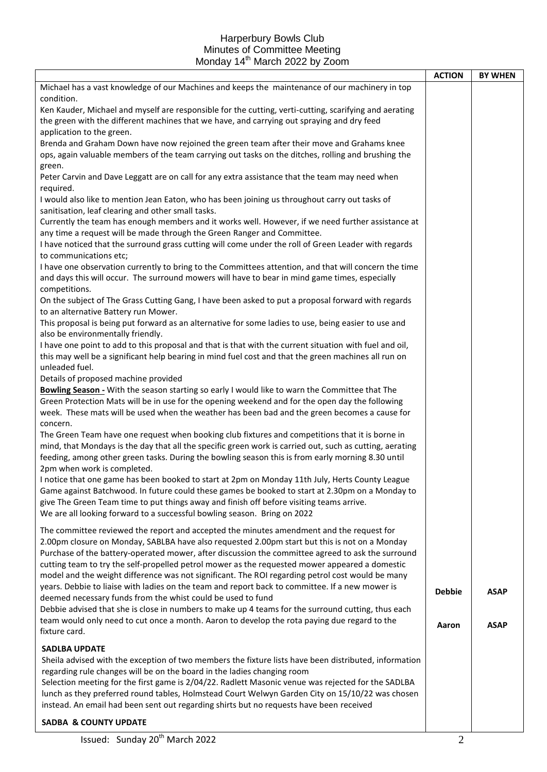|                                                                                                                                                                                                                                                                                                                                                                                                                                                                                                      | <b>ACTION</b> | <b>BY WHEN</b> |
|------------------------------------------------------------------------------------------------------------------------------------------------------------------------------------------------------------------------------------------------------------------------------------------------------------------------------------------------------------------------------------------------------------------------------------------------------------------------------------------------------|---------------|----------------|
| Michael has a vast knowledge of our Machines and keeps the maintenance of our machinery in top<br>condition.                                                                                                                                                                                                                                                                                                                                                                                         |               |                |
| Ken Kauder, Michael and myself are responsible for the cutting, verti-cutting, scarifying and aerating<br>the green with the different machines that we have, and carrying out spraying and dry feed                                                                                                                                                                                                                                                                                                 |               |                |
| application to the green.<br>Brenda and Graham Down have now rejoined the green team after their move and Grahams knee<br>ops, again valuable members of the team carrying out tasks on the ditches, rolling and brushing the                                                                                                                                                                                                                                                                        |               |                |
| green.<br>Peter Carvin and Dave Leggatt are on call for any extra assistance that the team may need when                                                                                                                                                                                                                                                                                                                                                                                             |               |                |
| required.                                                                                                                                                                                                                                                                                                                                                                                                                                                                                            |               |                |
| I would also like to mention Jean Eaton, who has been joining us throughout carry out tasks of<br>sanitisation, leaf clearing and other small tasks.                                                                                                                                                                                                                                                                                                                                                 |               |                |
| Currently the team has enough members and it works well. However, if we need further assistance at                                                                                                                                                                                                                                                                                                                                                                                                   |               |                |
| any time a request will be made through the Green Ranger and Committee.<br>I have noticed that the surround grass cutting will come under the roll of Green Leader with regards                                                                                                                                                                                                                                                                                                                      |               |                |
| to communications etc;                                                                                                                                                                                                                                                                                                                                                                                                                                                                               |               |                |
| I have one observation currently to bring to the Committees attention, and that will concern the time<br>and days this will occur. The surround mowers will have to bear in mind game times, especially                                                                                                                                                                                                                                                                                              |               |                |
| competitions.<br>On the subject of The Grass Cutting Gang, I have been asked to put a proposal forward with regards                                                                                                                                                                                                                                                                                                                                                                                  |               |                |
| to an alternative Battery run Mower.                                                                                                                                                                                                                                                                                                                                                                                                                                                                 |               |                |
| This proposal is being put forward as an alternative for some ladies to use, being easier to use and<br>also be environmentally friendly.                                                                                                                                                                                                                                                                                                                                                            |               |                |
| I have one point to add to this proposal and that is that with the current situation with fuel and oil,<br>this may well be a significant help bearing in mind fuel cost and that the green machines all run on                                                                                                                                                                                                                                                                                      |               |                |
| unleaded fuel.                                                                                                                                                                                                                                                                                                                                                                                                                                                                                       |               |                |
| Details of proposed machine provided<br>Bowling Season - With the season starting so early I would like to warn the Committee that The                                                                                                                                                                                                                                                                                                                                                               |               |                |
| Green Protection Mats will be in use for the opening weekend and for the open day the following<br>week. These mats will be used when the weather has been bad and the green becomes a cause for                                                                                                                                                                                                                                                                                                     |               |                |
| concern.                                                                                                                                                                                                                                                                                                                                                                                                                                                                                             |               |                |
| The Green Team have one request when booking club fixtures and competitions that it is borne in<br>mind, that Mondays is the day that all the specific green work is carried out, such as cutting, aerating<br>feeding, among other green tasks. During the bowling season this is from early morning 8.30 until                                                                                                                                                                                     |               |                |
| 2pm when work is completed.                                                                                                                                                                                                                                                                                                                                                                                                                                                                          |               |                |
| I notice that one game has been booked to start at 2pm on Monday 11th July, Herts County League<br>Game against Batchwood. In future could these games be booked to start at 2.30pm on a Monday to                                                                                                                                                                                                                                                                                                   |               |                |
| give The Green Team time to put things away and finish off before visiting teams arrive.<br>We are all looking forward to a successful bowling season. Bring on 2022                                                                                                                                                                                                                                                                                                                                 |               |                |
| The committee reviewed the report and accepted the minutes amendment and the request for<br>2.00pm closure on Monday, SABLBA have also requested 2.00pm start but this is not on a Monday<br>Purchase of the battery-operated mower, after discussion the committee agreed to ask the surround<br>cutting team to try the self-propelled petrol mower as the requested mower appeared a domestic<br>model and the weight difference was not significant. The ROI regarding petrol cost would be many |               |                |
| years. Debbie to liaise with ladies on the team and report back to committee. If a new mower is<br>deemed necessary funds from the whist could be used to fund                                                                                                                                                                                                                                                                                                                                       | <b>Debbie</b> | <b>ASAP</b>    |
| Debbie advised that she is close in numbers to make up 4 teams for the surround cutting, thus each                                                                                                                                                                                                                                                                                                                                                                                                   |               |                |
| team would only need to cut once a month. Aaron to develop the rota paying due regard to the<br>fixture card.                                                                                                                                                                                                                                                                                                                                                                                        | Aaron         | <b>ASAP</b>    |
| <b>SADLBA UPDATE</b>                                                                                                                                                                                                                                                                                                                                                                                                                                                                                 |               |                |
| Sheila advised with the exception of two members the fixture lists have been distributed, information<br>regarding rule changes will be on the board in the ladies changing room<br>Selection meeting for the first game is 2/04/22. Radlett Masonic venue was rejected for the SADLBA<br>lunch as they preferred round tables, Holmstead Court Welwyn Garden City on 15/10/22 was chosen                                                                                                            |               |                |
| instead. An email had been sent out regarding shirts but no requests have been received                                                                                                                                                                                                                                                                                                                                                                                                              |               |                |
| <b>SADBA &amp; COUNTY UPDATE</b>                                                                                                                                                                                                                                                                                                                                                                                                                                                                     |               |                |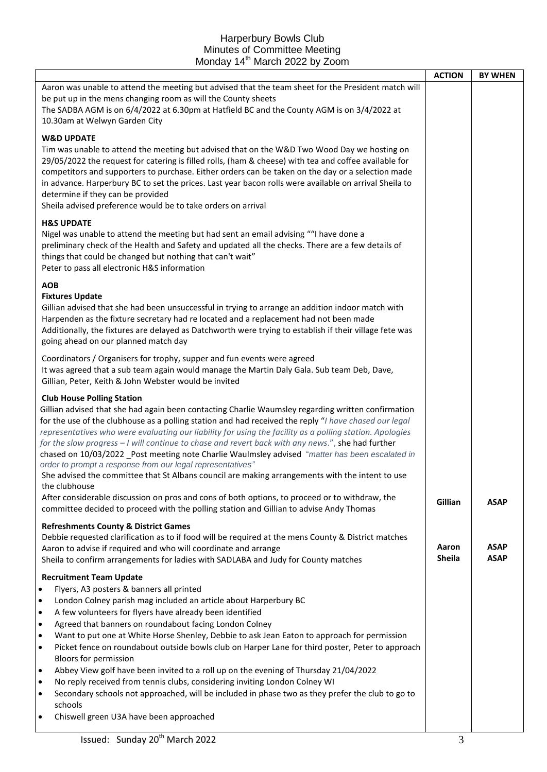|                                                                                                                                                                                                                                                                                                                                                                                                                                                                                                                                                                                                                                                                                                                                                                                                                                                                                                                                                    | <b>ACTION</b>          | <b>BY WHEN</b>             |
|----------------------------------------------------------------------------------------------------------------------------------------------------------------------------------------------------------------------------------------------------------------------------------------------------------------------------------------------------------------------------------------------------------------------------------------------------------------------------------------------------------------------------------------------------------------------------------------------------------------------------------------------------------------------------------------------------------------------------------------------------------------------------------------------------------------------------------------------------------------------------------------------------------------------------------------------------|------------------------|----------------------------|
| Aaron was unable to attend the meeting but advised that the team sheet for the President match will<br>be put up in the mens changing room as will the County sheets<br>The SADBA AGM is on 6/4/2022 at 6.30pm at Hatfield BC and the County AGM is on 3/4/2022 at<br>10.30am at Welwyn Garden City                                                                                                                                                                                                                                                                                                                                                                                                                                                                                                                                                                                                                                                |                        |                            |
| <b>W&amp;D UPDATE</b><br>Tim was unable to attend the meeting but advised that on the W&D Two Wood Day we hosting on<br>29/05/2022 the request for catering is filled rolls, (ham & cheese) with tea and coffee available for<br>competitors and supporters to purchase. Either orders can be taken on the day or a selection made<br>in advance. Harperbury BC to set the prices. Last year bacon rolls were available on arrival Sheila to<br>determine if they can be provided<br>Sheila advised preference would be to take orders on arrival                                                                                                                                                                                                                                                                                                                                                                                                  |                        |                            |
| <b>H&amp;S UPDATE</b><br>Nigel was unable to attend the meeting but had sent an email advising ""I have done a<br>preliminary check of the Health and Safety and updated all the checks. There are a few details of<br>things that could be changed but nothing that can't wait"<br>Peter to pass all electronic H&S information                                                                                                                                                                                                                                                                                                                                                                                                                                                                                                                                                                                                                   |                        |                            |
| <b>AOB</b><br><b>Fixtures Update</b><br>Gillian advised that she had been unsuccessful in trying to arrange an addition indoor match with<br>Harpenden as the fixture secretary had re located and a replacement had not been made<br>Additionally, the fixtures are delayed as Datchworth were trying to establish if their village fete was<br>going ahead on our planned match day                                                                                                                                                                                                                                                                                                                                                                                                                                                                                                                                                              |                        |                            |
| Coordinators / Organisers for trophy, supper and fun events were agreed<br>It was agreed that a sub team again would manage the Martin Daly Gala. Sub team Deb, Dave,<br>Gillian, Peter, Keith & John Webster would be invited                                                                                                                                                                                                                                                                                                                                                                                                                                                                                                                                                                                                                                                                                                                     |                        |                            |
| <b>Club House Polling Station</b><br>Gillian advised that she had again been contacting Charlie Waumsley regarding written confirmation<br>for the use of the clubhouse as a polling station and had received the reply "I have chased our legal<br>representatives who were evaluating our liability for using the facility as a polling station. Apologies<br>for the slow progress - I will continue to chase and revert back with any news.", she had further<br>chased on 10/03/2022 Post meeting note Charlie Waulmsley advised "matter has been escalated in<br>order to prompt a response from our legal representatives"<br>She advised the committee that St Albans council are making arrangements with the intent to use<br>the clubhouse<br>After considerable discussion on pros and cons of both options, to proceed or to withdraw, the<br>committee decided to proceed with the polling station and Gillian to advise Andy Thomas | Gillian                | <b>ASAP</b>                |
| <b>Refreshments County &amp; District Games</b><br>Debbie requested clarification as to if food will be required at the mens County & District matches<br>Aaron to advise if required and who will coordinate and arrange<br>Sheila to confirm arrangements for ladies with SADLABA and Judy for County matches                                                                                                                                                                                                                                                                                                                                                                                                                                                                                                                                                                                                                                    | Aaron<br><b>Sheila</b> | <b>ASAP</b><br><b>ASAP</b> |
| <b>Recruitment Team Update</b><br>Flyers, A3 posters & banners all printed<br>London Colney parish mag included an article about Harperbury BC<br>A few volunteers for flyers have already been identified<br>Agreed that banners on roundabout facing London Colney<br>$\bullet$<br>Want to put one at White Horse Shenley, Debbie to ask Jean Eaton to approach for permission<br>$\bullet$<br>Picket fence on roundabout outside bowls club on Harper Lane for third poster, Peter to approach<br>$\bullet$<br>Bloors for permission<br>Abbey View golf have been invited to a roll up on the evening of Thursday 21/04/2022<br>No reply received from tennis clubs, considering inviting London Colney WI<br>Secondary schools not approached, will be included in phase two as they prefer the club to go to<br>$\bullet$<br>schools<br>Chiswell green U3A have been approached                                                               |                        |                            |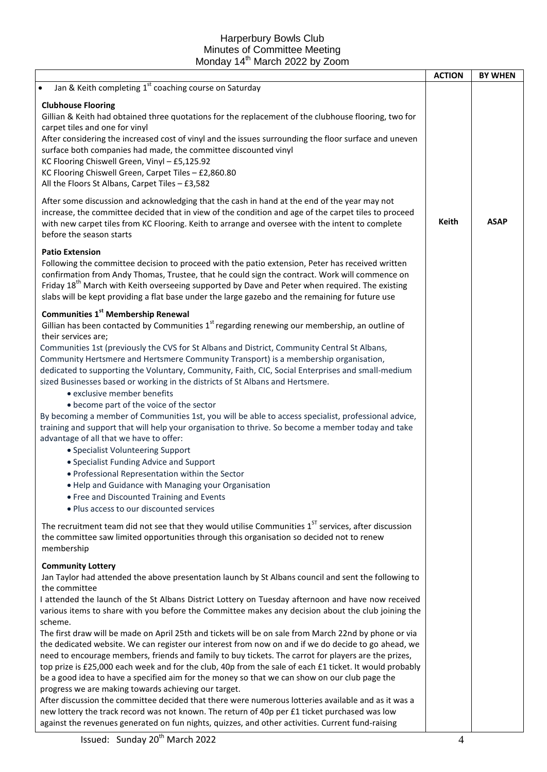|                                                                                                                                                                                                                                                                                                                                                                                                                                                                                                                                                                                                                                                                                                                                                                                                                                                                                                                                                                                                                                                                                                                                                                                                                                                                                   | <b>ACTION</b> | <b>BY WHEN</b> |
|-----------------------------------------------------------------------------------------------------------------------------------------------------------------------------------------------------------------------------------------------------------------------------------------------------------------------------------------------------------------------------------------------------------------------------------------------------------------------------------------------------------------------------------------------------------------------------------------------------------------------------------------------------------------------------------------------------------------------------------------------------------------------------------------------------------------------------------------------------------------------------------------------------------------------------------------------------------------------------------------------------------------------------------------------------------------------------------------------------------------------------------------------------------------------------------------------------------------------------------------------------------------------------------|---------------|----------------|
| Jan & Keith completing 1st coaching course on Saturday<br>$\bullet$                                                                                                                                                                                                                                                                                                                                                                                                                                                                                                                                                                                                                                                                                                                                                                                                                                                                                                                                                                                                                                                                                                                                                                                                               |               |                |
| <b>Clubhouse Flooring</b><br>Gillian & Keith had obtained three quotations for the replacement of the clubhouse flooring, two for<br>carpet tiles and one for vinyl<br>After considering the increased cost of vinyl and the issues surrounding the floor surface and uneven<br>surface both companies had made, the committee discounted vinyl<br>KC Flooring Chiswell Green, Vinyl - £5,125.92<br>KC Flooring Chiswell Green, Carpet Tiles - £2,860.80<br>All the Floors St Albans, Carpet Tiles - £3,582                                                                                                                                                                                                                                                                                                                                                                                                                                                                                                                                                                                                                                                                                                                                                                       |               |                |
| After some discussion and acknowledging that the cash in hand at the end of the year may not<br>increase, the committee decided that in view of the condition and age of the carpet tiles to proceed<br>with new carpet tiles from KC Flooring. Keith to arrange and oversee with the intent to complete<br>before the season starts                                                                                                                                                                                                                                                                                                                                                                                                                                                                                                                                                                                                                                                                                                                                                                                                                                                                                                                                              | <b>Keith</b>  | <b>ASAP</b>    |
| <b>Patio Extension</b><br>Following the committee decision to proceed with the patio extension, Peter has received written<br>confirmation from Andy Thomas, Trustee, that he could sign the contract. Work will commence on<br>Friday 18 <sup>th</sup> March with Keith overseeing supported by Dave and Peter when required. The existing<br>slabs will be kept providing a flat base under the large gazebo and the remaining for future use                                                                                                                                                                                                                                                                                                                                                                                                                                                                                                                                                                                                                                                                                                                                                                                                                                   |               |                |
| <b>Communities 1st Membership Renewal</b><br>Gillian has been contacted by Communities $1st$ regarding renewing our membership, an outline of<br>their services are;<br>Communities 1st (previously the CVS for St Albans and District, Community Central St Albans,<br>Community Hertsmere and Hertsmere Community Transport) is a membership organisation,<br>dedicated to supporting the Voluntary, Community, Faith, CIC, Social Enterprises and small-medium<br>sized Businesses based or working in the districts of St Albans and Hertsmere.<br>• exclusive member benefits<br>• become part of the voice of the sector<br>By becoming a member of Communities 1st, you will be able to access specialist, professional advice,<br>training and support that will help your organisation to thrive. So become a member today and take<br>advantage of all that we have to offer:<br>• Specialist Volunteering Support<br>• Specialist Funding Advice and Support<br>• Professional Representation within the Sector<br>. Help and Guidance with Managing your Organisation<br>• Free and Discounted Training and Events<br>. Plus access to our discounted services                                                                                                        |               |                |
| The recruitment team did not see that they would utilise Communities $1ST$ services, after discussion<br>the committee saw limited opportunities through this organisation so decided not to renew<br>membership                                                                                                                                                                                                                                                                                                                                                                                                                                                                                                                                                                                                                                                                                                                                                                                                                                                                                                                                                                                                                                                                  |               |                |
| <b>Community Lottery</b><br>Jan Taylor had attended the above presentation launch by St Albans council and sent the following to<br>the committee<br>I attended the launch of the St Albans District Lottery on Tuesday afternoon and have now received<br>various items to share with you before the Committee makes any decision about the club joining the<br>scheme.<br>The first draw will be made on April 25th and tickets will be on sale from March 22nd by phone or via<br>the dedicated website. We can register our interest from now on and if we do decide to go ahead, we<br>need to encourage members, friends and family to buy tickets. The carrot for players are the prizes,<br>top prize is £25,000 each week and for the club, 40p from the sale of each £1 ticket. It would probably<br>be a good idea to have a specified aim for the money so that we can show on our club page the<br>progress we are making towards achieving our target.<br>After discussion the committee decided that there were numerous lotteries available and as it was a<br>new lottery the track record was not known. The return of 40p per £1 ticket purchased was low<br>against the revenues generated on fun nights, quizzes, and other activities. Current fund-raising |               |                |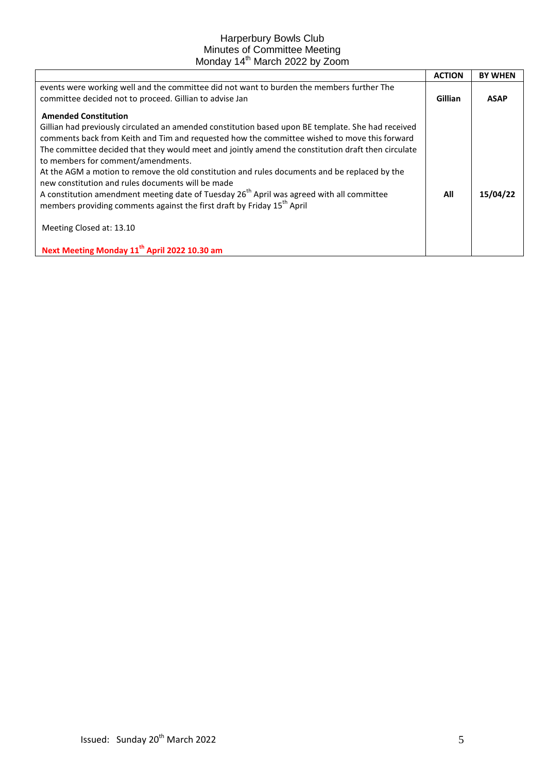|                                                                                                                                                                                                                                                                                                                                                                                                                                                                                                                                                                                                                                                                                                                           | <b>ACTION</b> | <b>BY WHEN</b> |
|---------------------------------------------------------------------------------------------------------------------------------------------------------------------------------------------------------------------------------------------------------------------------------------------------------------------------------------------------------------------------------------------------------------------------------------------------------------------------------------------------------------------------------------------------------------------------------------------------------------------------------------------------------------------------------------------------------------------------|---------------|----------------|
| events were working well and the committee did not want to burden the members further The<br>committee decided not to proceed. Gillian to advise Jan                                                                                                                                                                                                                                                                                                                                                                                                                                                                                                                                                                      | Gillian       | <b>ASAP</b>    |
| <b>Amended Constitution</b><br>Gillian had previously circulated an amended constitution based upon BE template. She had received<br>comments back from Keith and Tim and requested how the committee wished to move this forward<br>The committee decided that they would meet and jointly amend the constitution draft then circulate<br>to members for comment/amendments.<br>At the AGM a motion to remove the old constitution and rules documents and be replaced by the<br>new constitution and rules documents will be made<br>A constitution amendment meeting date of Tuesday $26th$ April was agreed with all committee<br>members providing comments against the first draft by Friday 15 <sup>th</sup> April | All           | 15/04/22       |
| Meeting Closed at: 13.10                                                                                                                                                                                                                                                                                                                                                                                                                                                                                                                                                                                                                                                                                                  |               |                |
| Next Meeting Monday 11 <sup>th</sup> April 2022 10.30 am                                                                                                                                                                                                                                                                                                                                                                                                                                                                                                                                                                                                                                                                  |               |                |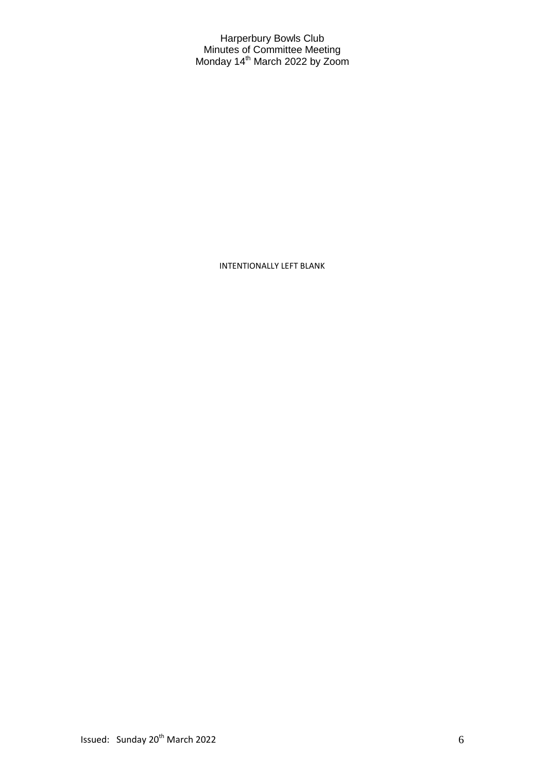INTENTIONALLY LEFT BLANK